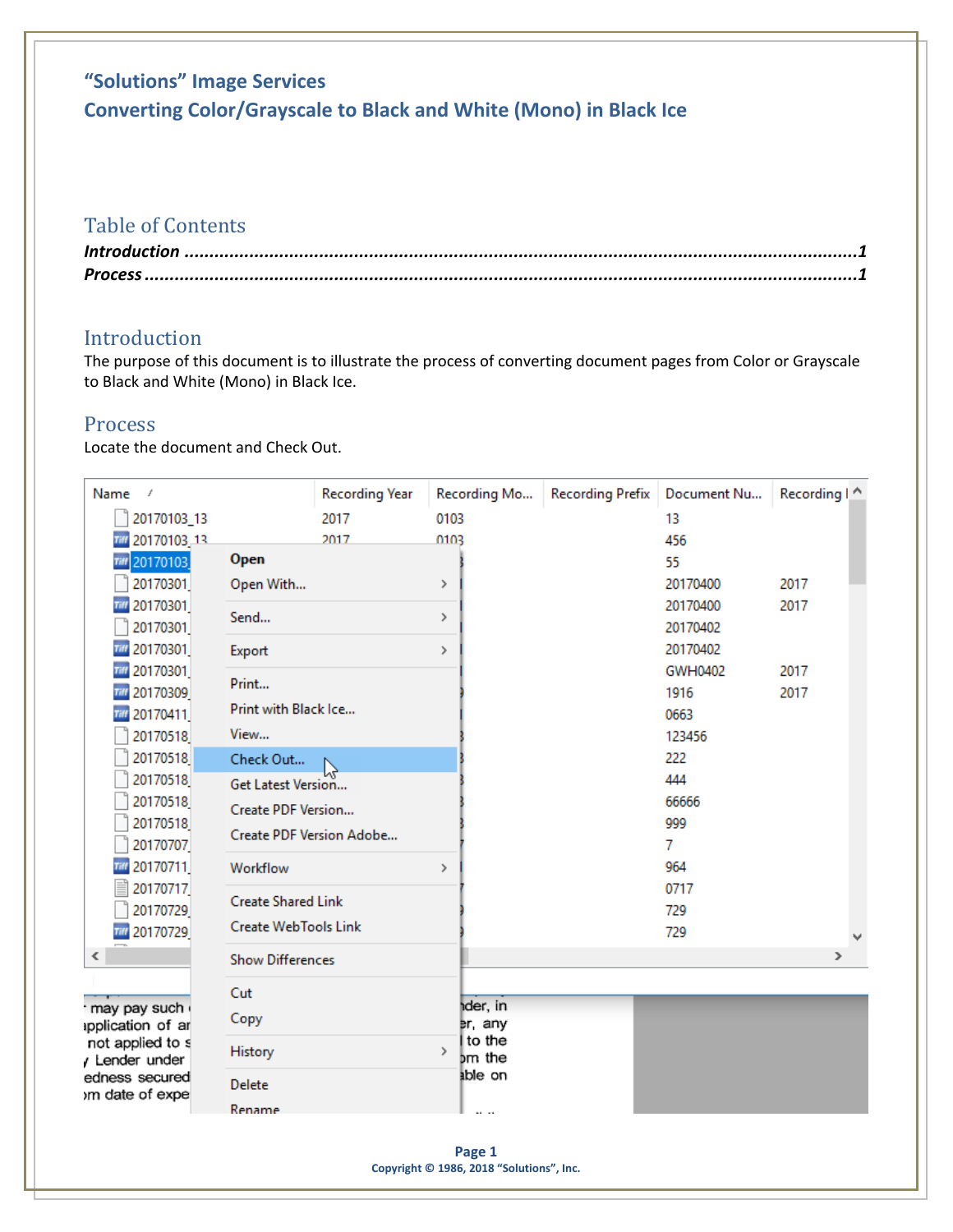# **"Solutions" Image Services Converting Color/Grayscale to Black and White (Mono) in Black Ice**

### Table of Contents

| $\textit{Process} \, \, \ldots \, \, \ldots \, \, \ldots \, \, \ldots \, \, \ldots \, \, \ldots \, \, \ldots \, \, \ldots \, \, \ldots \, \, \ldots \, \, \ldots \, \, \ldots \, \, \ldots \, \, \ldots \, \, \ldots \, \, \ldots \, \, \ldots \, \, \ldots \, \, \ldots \, \, \ldots \, \, \ldots \, \, \ldots \, \, \ldots \, \, \ldots \, \, \ldots \, \, \ldots \, \, \ldots \, \, \ldots \, \, \ldots \, \, \ldots \, \,$ |  |
|--------------------------------------------------------------------------------------------------------------------------------------------------------------------------------------------------------------------------------------------------------------------------------------------------------------------------------------------------------------------------------------------------------------------------------|--|

### <span id="page-0-0"></span>Introduction

The purpose of this document is to illustrate the process of converting document pages from Color or Grayscale to Black and White (Mono) in Black Ice.

#### <span id="page-0-1"></span>Process

Locate the document and Check Out.

| Name<br>$\overline{f}$               |                             | <b>Recording Year</b>    | Recording Mo            | Recording Prefix   Document Nu |              | Recording   ^ |
|--------------------------------------|-----------------------------|--------------------------|-------------------------|--------------------------------|--------------|---------------|
| 20170103_13                          |                             | 2017                     | 0103                    |                                | 13           |               |
| 20170103_13<br>Tiff                  |                             | 2017                     | 0103                    |                                | 456          |               |
| 20170103<br>Till                     | Open                        |                          |                         |                                | 55           |               |
| 20170301                             | Open With                   |                          | $\rightarrow$           |                                | 20170400     | 2017          |
| <b>THE 20170301</b>                  | Send                        |                          | $\rightarrow$           |                                | 20170400     | 2017          |
| 20170301                             |                             |                          |                         |                                | 20170402     |               |
| 20170301                             | Export                      |                          | $\rightarrow$           |                                | 20170402     |               |
| 20170301                             | Print                       |                          |                         |                                | GWH0402      | 2017          |
| 20170309                             | Print with Black Ice        |                          |                         |                                | 1916         | 2017          |
| 20170411                             |                             |                          |                         |                                | 0663         |               |
| 20170518                             | View                        |                          |                         |                                | 123456       |               |
| 20170518                             | Check Out                   |                          |                         |                                | 222          |               |
| 20170518<br>20170518                 | Get Latest Version          |                          |                         |                                | 444<br>66666 |               |
| 20170518                             | Create PDF Version          |                          |                         |                                | 999          |               |
| 20170707                             |                             | Create PDF Version Adobe |                         |                                | 7.           |               |
| 788 20170711                         | Workflow                    |                          | $\rightarrow$           |                                | 964          |               |
| 20170717                             |                             |                          |                         |                                | 0717         |               |
| 20170729                             | <b>Create Shared Link</b>   |                          |                         |                                | 729          |               |
| <b>THE 20170729</b>                  | <b>Create WebTools Link</b> |                          |                         |                                | 729          |               |
| $\overline{\phantom{a}}$             | <b>Show Differences</b>     |                          |                         |                                |              | $\rightarrow$ |
|                                      | Cut                         |                          |                         |                                |              |               |
| may pay such                         | Copy                        |                          | der, in                 |                                |              |               |
| pplication of ar<br>not applied to s |                             |                          | er, any<br>Ito the      |                                |              |               |
| / Lender under                       | History                     |                          | $\rightarrow$<br>bm the |                                |              |               |
| edness secured<br>om date of expe    | Delete                      |                          | able on                 |                                |              |               |
|                                      | Rename                      |                          |                         |                                |              |               |
|                                      |                             |                          |                         |                                |              |               |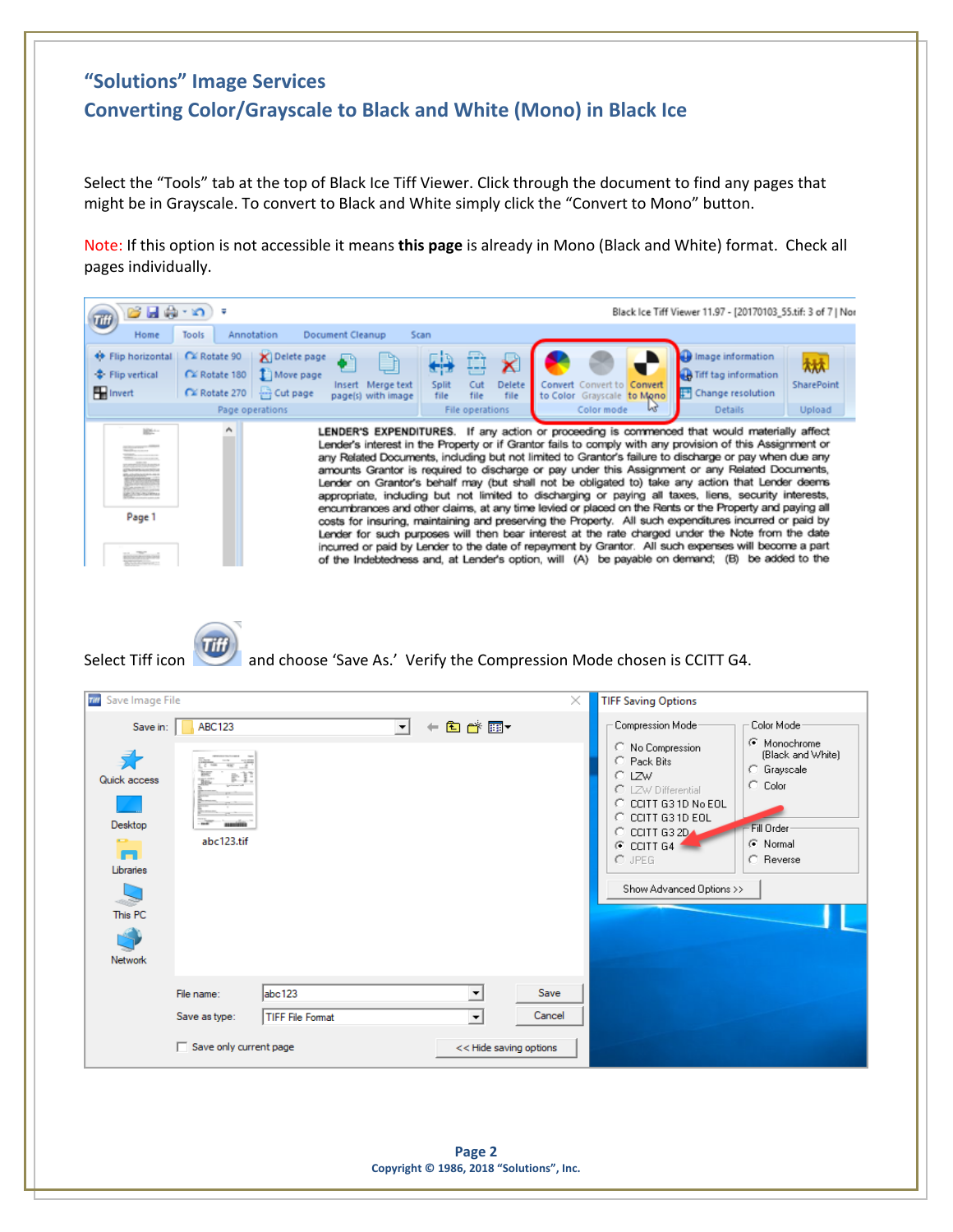## **"Solutions" Image Services Converting Color/Grayscale to Black and White (Mono) in Black Ice**

Select the "Tools" tab at the top of Black Ice Tiff Viewer. Click through the document to find any pages that might be in Grayscale. To convert to Black and White simply click the "Convert to Mono" button.

Note: If this option is not accessible it means **this page** is already in Mono (Black and White) format. Check all pages individually.

| - H - 1                                                                     |                                                                                |                                                                       |                                          |                                                                                |                | Black Ice Tiff Viewer 11.97 - [20170103_55.tif: 3 of 7   Nor                                                                                                                                                                                                                                                                                                                                                                                                                                                                                                                                                                                                                                                                                                                                                                                                                                                                                                                                                                                                                                                                                                                                                                                     |                                                                                                            |
|-----------------------------------------------------------------------------|--------------------------------------------------------------------------------|-----------------------------------------------------------------------|------------------------------------------|--------------------------------------------------------------------------------|----------------|--------------------------------------------------------------------------------------------------------------------------------------------------------------------------------------------------------------------------------------------------------------------------------------------------------------------------------------------------------------------------------------------------------------------------------------------------------------------------------------------------------------------------------------------------------------------------------------------------------------------------------------------------------------------------------------------------------------------------------------------------------------------------------------------------------------------------------------------------------------------------------------------------------------------------------------------------------------------------------------------------------------------------------------------------------------------------------------------------------------------------------------------------------------------------------------------------------------------------------------------------|------------------------------------------------------------------------------------------------------------|
| Home                                                                        | Annotation<br>Tools                                                            | <b>Document Cleanup</b>                                               | Scan                                     |                                                                                |                |                                                                                                                                                                                                                                                                                                                                                                                                                                                                                                                                                                                                                                                                                                                                                                                                                                                                                                                                                                                                                                                                                                                                                                                                                                                  |                                                                                                            |
| ← Flip horizontal<br>+ Flip vertical<br><b>H</b> Invert                     | EX Rotate 90<br>C≚ Rotate 180<br>EX Rotate 270   - Cut page<br>Page operations | Delete page<br>I Move page<br>Insert Merge text<br>page(s) with image | Split<br>file                            | Cut<br><b>Delete</b><br>file<br>file<br>File operations                        |                | Image information<br>Tiff tag information<br>Convert Convert to Convert<br>Change resolution<br>to Color Grayscale to Mono<br>Color mode<br><b>Details</b>                                                                                                                                                                                                                                                                                                                                                                                                                                                                                                                                                                                                                                                                                                                                                                                                                                                                                                                                                                                                                                                                                       | SharePoint<br>Upload                                                                                       |
| <b>ISS-</b><br>Page 1<br>Select Tiff icon                                   | ۸                                                                              |                                                                       |                                          |                                                                                |                | LENDER'S EXPENDITURES. If any action or proceeding is commenced that would materially affect<br>Lender's interest in the Property or if Grantor fails to comply with any provision of this Assignment or<br>any Related Documents, including but not limited to Grantor's failure to discharge or pay when due any<br>amounts Grantor is required to discharge or pay under this Assignment or any Related Documents,<br>Lender on Grantor's behalf may (but shall not be obligated to) take any action that Lender deems<br>appropriate, including but not limited to discharging or paying all taxes, liens, security interests,<br>encumbrances and other claims, at any time levied or placed on the Rents or the Property and paying all<br>costs for insuring, maintaining and preserving the Property. All such expenditures incurred or paid by<br>Lender for such purposes will then bear interest at the rate charged under the Note from the date<br>incurred or paid by Lender to the date of repayment by Grantor. All such expenses will become a part<br>of the Indebtedness and, at Lender's option, will (A) be payable on demand; (B) be added to the<br>and choose 'Save As.' Verify the Compression Mode chosen is CCITT G4. |                                                                                                            |
| <b>Till</b> Save Image File                                                 |                                                                                |                                                                       |                                          |                                                                                | $\times$       | <b>TIFF Saving Options</b>                                                                                                                                                                                                                                                                                                                                                                                                                                                                                                                                                                                                                                                                                                                                                                                                                                                                                                                                                                                                                                                                                                                                                                                                                       |                                                                                                            |
|                                                                             | ABC123                                                                         |                                                                       | ←自診园▼<br>$\vert \cdot \vert$             |                                                                                |                | Compression Mode                                                                                                                                                                                                                                                                                                                                                                                                                                                                                                                                                                                                                                                                                                                                                                                                                                                                                                                                                                                                                                                                                                                                                                                                                                 | Color Mode                                                                                                 |
| Save in:<br>Quick access<br>Desktop<br>m<br>Libraries<br>This PC<br>Network | abc123.tif                                                                     |                                                                       |                                          |                                                                                |                | C No Compression<br>C Pack Bits<br>C LZW<br>C LZW Differential<br>C CCITT G3 1D No EOL<br>$\circ$ CCITT G3 1D EOL<br>$\odot$ CCITT G3 2D<br>$\times$ CCITT G4<br>$C$ JPEG<br>Show Advanced Options >>                                                                                                                                                                                                                                                                                                                                                                                                                                                                                                                                                                                                                                                                                                                                                                                                                                                                                                                                                                                                                                            | Monochrome<br>(Black and White)<br><b>C</b> Grayscale<br>Color<br>O<br>Fill Order<br>C Normal<br>C Reverse |
|                                                                             | File name:<br>Save as type:<br>$\Box$ Save only current page                   | abc123<br><b>TIFF File Format</b>                                     |                                          | $\overline{\phantom{a}}$<br>$\overline{\phantom{a}}$<br><< Hide saving options | Save<br>Cancel |                                                                                                                                                                                                                                                                                                                                                                                                                                                                                                                                                                                                                                                                                                                                                                                                                                                                                                                                                                                                                                                                                                                                                                                                                                                  |                                                                                                            |
|                                                                             |                                                                                |                                                                       | Copyright © 1986, 2018 "Solutions", Inc. | Page 2                                                                         |                |                                                                                                                                                                                                                                                                                                                                                                                                                                                                                                                                                                                                                                                                                                                                                                                                                                                                                                                                                                                                                                                                                                                                                                                                                                                  |                                                                                                            |